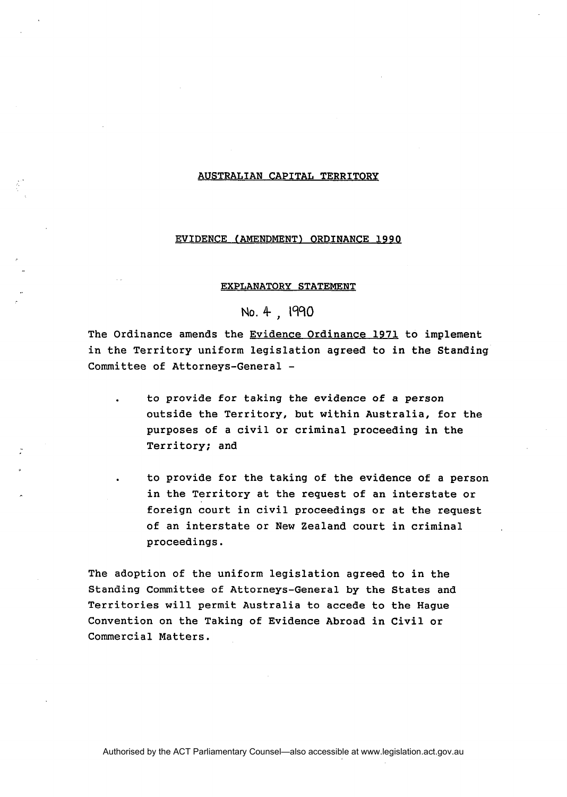### AUSTRALIAN CAPITAL TERRITORY

### EVIDENCE (AMENDMENT) ORDINANCE 1990

# EXPLANATORY STATEMENT

# **No.** 4 , 1990

The Ordinance amends the Evidence Ordinance 1971 to implement in the Territory uniform legislation agreed to in the Standing Committee of Attorneys-General -

to provide for taking the evidence of a person outside the Territory, but within Australia, for the purposes of a civil or criminal proceeding in the Territory; and

. to provide for the taking of the evidence of a person in the Territory at the request of an interstate or foreign court in civil proceedings or at the request of an interstate or New Zealand court in criminal proceedings.

The adoption of the uniform legislation agreed to in the Standing Committee of Attorneys-General by the States and Territories will permit Australia to accede to the Hague Convention on the Taking of Evidence Abroad in Civil or Commercial Matters.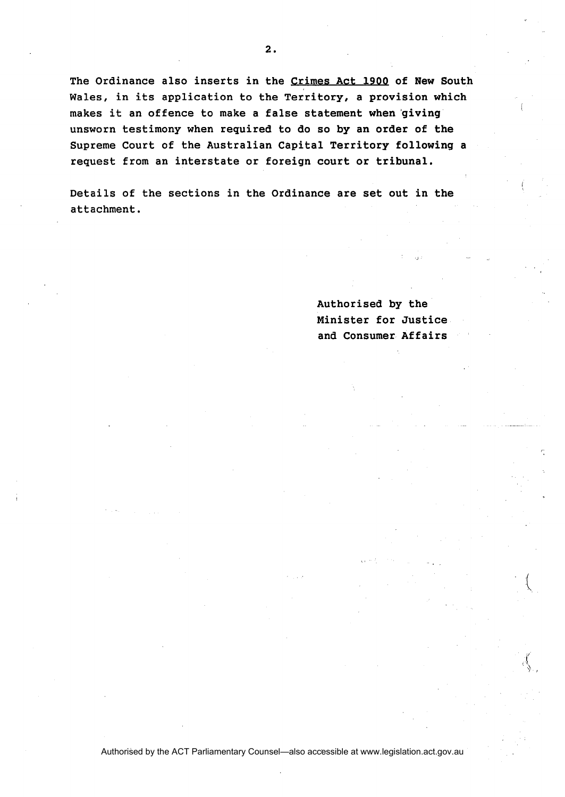**The Ordinance also inserts in the Grimes Act 190Q of New South Wales, in its application to the Territory, a provision which makes it an offence to make a false statement when 'giving** \ **unsworn testimony when required to do so by an order of the Supreme Court of the Australian Capital Territory following a request from an interstate or foreign court or tribunal.** 

**Details of the sections in the Ordinance are set out in the attachment.** 

> **Authorised by the Minister for Justice and Consumer Affairs**

Authorised by the ACT Parliamentary Counsel—also accessible at www.legislation.act.gov.au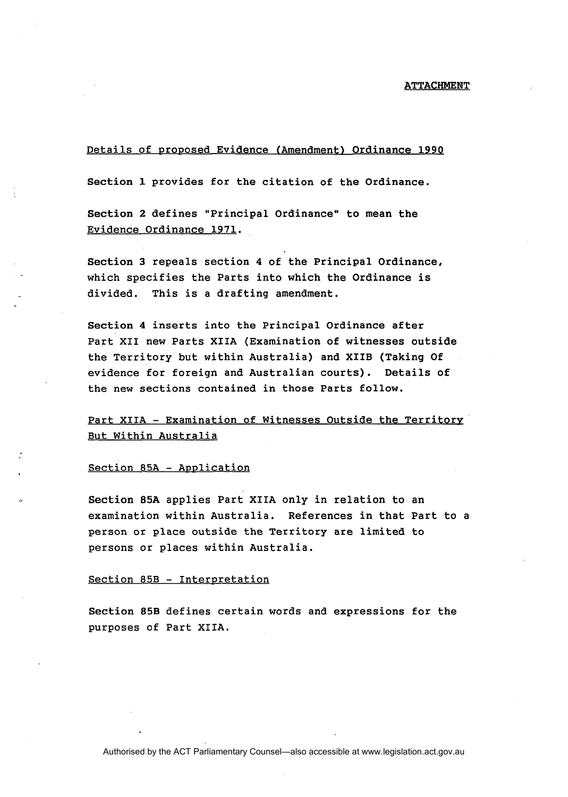### ATTACHMENT

# Details of proposed Evidence (Amendment) Ordinance 1990

Section 1 provides for the citation of the Ordinance.

Section 2 defines "Principal Ordinance" to mean the Evidence Ordinance 1971.

Section 3 repeals section **4** of the Principal Ordinance, which specifies the Parts into which the Ordinance is divided. This is a drafting amendment.

Section **4** inserts into the Principal Ordinance after Part XI1 new Parts XIIA (Examination of witnesses outside the Territory but within Australia) and XIIB (Taking Of evidence for foreign and Australian courts). Details of the new sections contained in those Parts follow.

Part XIIA - Examination of Witnesses Outside the Territory But Within Australia

### Section 85A - Application

Section **85A** applies Part XIIA only in relation to an examination within Australia. References in that Part to a person or place outside the Territory are limited to persons or places within Australia.

### Section 85B - Interpretation

Section **85B** defines certain words and expressions for the purposes of Part XIIA.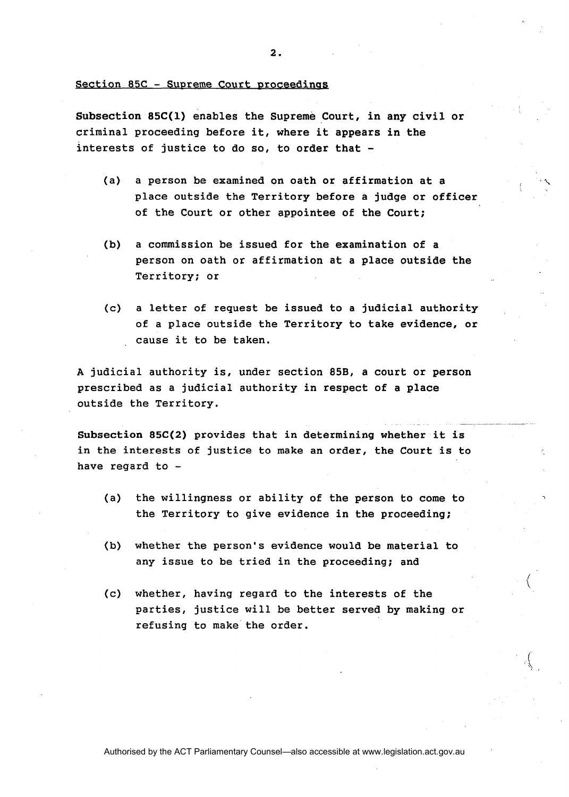Section  $85C -$  Supreme Court proceedings

Subsection **85C(1)** enables the Supreme Court, in any civil or criminal proceeding before it, where it appears in the interests of justice to do so, to order that -

- (a) a person be examined on oath or affirmation at a place outside the Territory before a judge or officer of the Court or other appointee of the Court;
- (b) a commission be issued for the examination of a person on oath or affirmation at a place outside the Territory; or
- (c) a letter of request be issued to a judicial authority of a place outside the Territory to take evidence, or cause it to be taken.

**A** judicial authority is, under section **85B,** a court or person prescribed as a judicial authority in respect of a place outside the Territory. - - - - - --

Subsection **85C(2)** provides that in determining whether it is in the interests of justice to make an order, the Court is to have regard to -

- (a) the willingness or ability of the person to come to the Territory to give evidence in the proceeding;
- (b) whether the person's evidence would be material to any issue to be tried in the proceeding; and
- (c) whether, having regard to the interests of the parties, justice will be better served by making or refusing to make the order.

Authorised by the ACT Parliamentary Counsel—also accessible at www.legislation.act.gov.au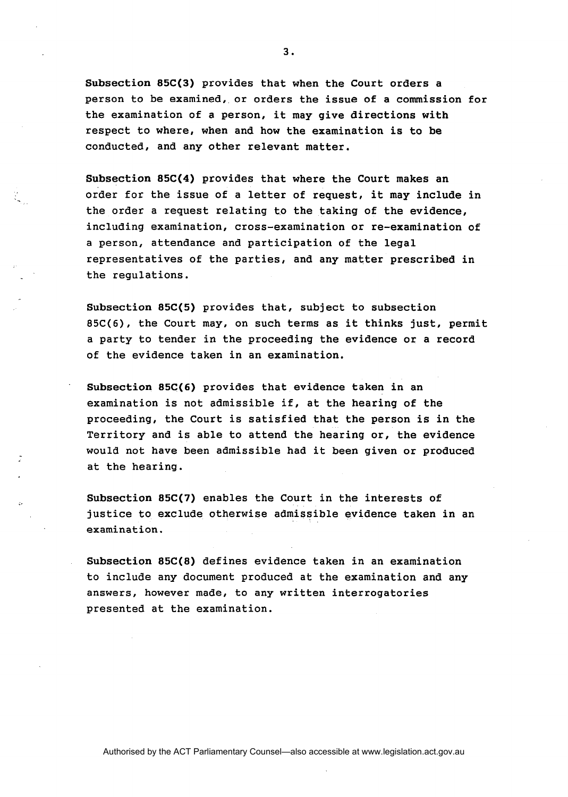Subsection **85C(3)** provides that when the Court orders a person to be examined, or orders the issue of a commission for the examination of a person, it may give directions with respect to where, when and how the examination is to be conducted, and any other relevant matter.

Subsection **85C(4)** provides that where the Court makes an order for the issue of a letter of request, it may include in the order a request relating to the taking of the evidence, including examination, cross-examination or re-examination of a person, attendance and participation of the legal representatives of the parties, and any matter prescribed in the regulations.

Subsection **85C(5)** provides that, subject to subsection 85C(6), the Court may, on such terms as it thinks just, permit a party to tender in the proceeding the evidence or a record of the evidence taken in an examination.

Subsection **85C(6)** provides that evidence taken in an examination is not admissible if, at the hearing of the proceeding, the Court is satisfied that the person is in the Territory and is able to attend the hearing or, the evidence would not have been admissible had it been given or produced at the hearing.

Subsection **85C(7)** enables the Court in the interests of justice to exclude otherwise admissible evidence taken in an examination.

Subsection **85C(8)** defines evidence taken in an examination to include any document produced at the examination and any answers, however made, to any written interrogatories presented at the examination.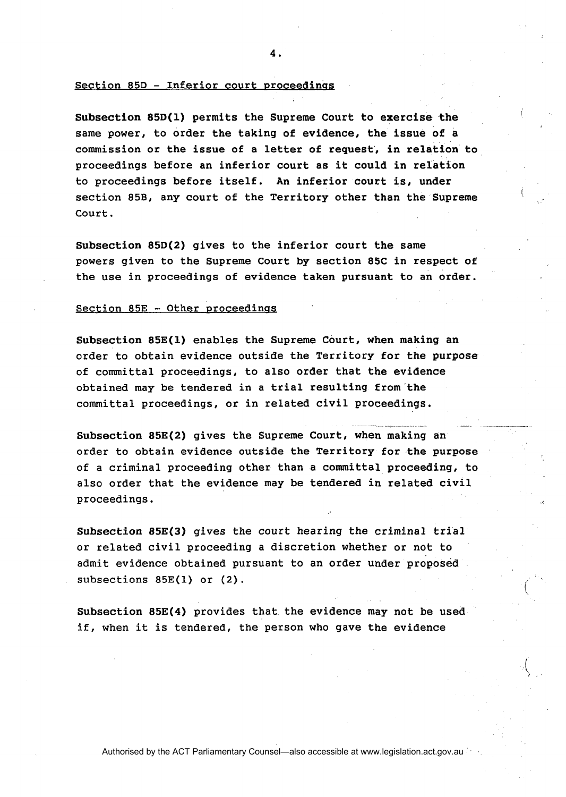4.

#### $Section 85D - Inferior court procedures$

Subsection 85D(1) permits the Supreme Court to exercise the same power, to order the taking of evidence, the issue of a commission or the issue of a letter of request, in relation to proceedings before an inferior court as it could in relation to proceedings before itself. An inferior court is, under section 85B, any court of the Territory other than the Supreme Court.

Subsection 85D(2) gives to the inferior court the same powers given to the Supreme Court by section 85C in respect of the use in proceedings of evidence taken pursuant to an order.

### Section 85E - Other proceedings

Subsection 85E(1) enables the Supreme Court, when making an order to obtain evidence outside the Territory for the purpose of committal proceedings, to also order that the evidence obtained may be tendered in a trial resulting from'the committal proceedings, or in related civil proceedings.  ${\tt ceedings.} \qquad \qquad \rule{0.2cm}{0.2cm} \qquad \qquad \rule{0.2cm}{0.2cm} \qquad \qquad \rule{0.2cm}{0.2cm} \qquad \qquad \rule{0.2cm}{0.2cm} \qquad \qquad \rule{0.2cm}{0.2cm} \qquad \qquad \rule{0.2cm}{0.2cm} \qquad \qquad \rule{0.2cm}{0.2cm} \qquad \qquad \rule{0.2cm}{0.2cm} \qquad \qquad \rule{0.2cm}{0.2cm} \qquad \qquad \rule{0.2cm}{0.2cm} \qquad \qquad \rule{0.2cm}{0.2cm} \qquad \$ 

Subsection 85E(2) gives the Supreme Court, when making an order to obtain evidence outside the Territory for the purpose of a criminal proceeding other than a committal proceeding, to also order that the evidence may be tendered in related civil proceedings.

Subsection 85E(3) gives the court hearing the criminal trial or related civil proceeding a discretion whether or not to admit evidence obtained pursuant to an order under proposed subsections 85E(1) or (2).

Subsection  $85E(4)$  provides that the evidence may not be used if, when it is tendered, the person who gave the evidence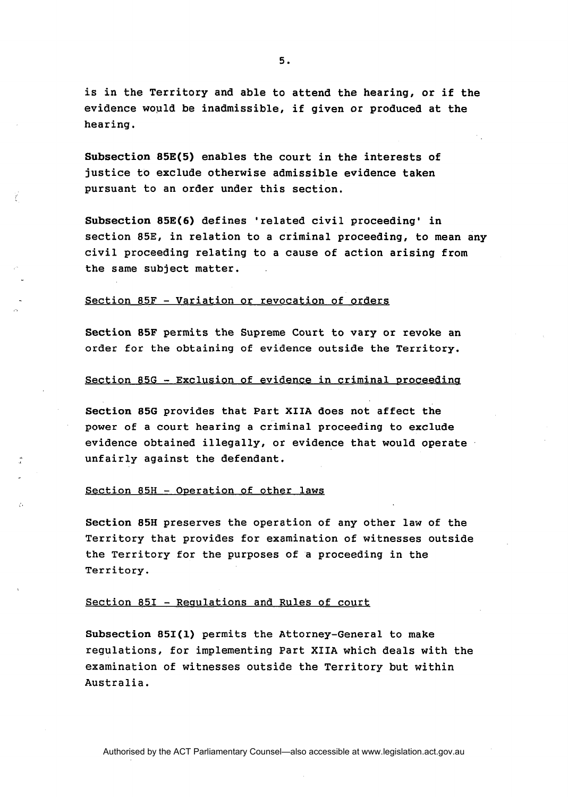is in the Territory and able to attend the hearing, or if the evidence would be inadmissible, if given or produced at the hearing.

Subsection **85E(5)** enables the court in the interests of justice to exclude otherwise admissible evidence taken pursuant to an order under this section.

Subsection **85E(6)** defines 'related civil proceeding' in section 85E, in relation to a criminal proceeding, to mean any civil proceeding relating to a cause of action arising from the same subject matter.

#### Section 85F - Variation or revocation of orders

ť

Section **85F** permits the Supreme Court to vary or revoke an order for the obtaining of evidence outside the Territory.

### Section 85G - Exclusion of evidence in criminal proceeding

Section 856 provides that Part XIIA does not affect the power of a court hearing a criminal proceeding to exclude evidence obtained illegally, or evidence that would operate unfairly against the defendant.

### Section 85H - Operation of other laws

Section 85H preserves the operation of any other law of the Territory that provides for examination of witnesses outside the Territory for the purposes of a proceeding in the Territory.

# Section 85I - Requlations and Rules of court

Subsection **851(1)** permits the Attorney-General to make regulations, for implementing Part XIIA which deals with the examination of witnesses outside the Territory but within Australia.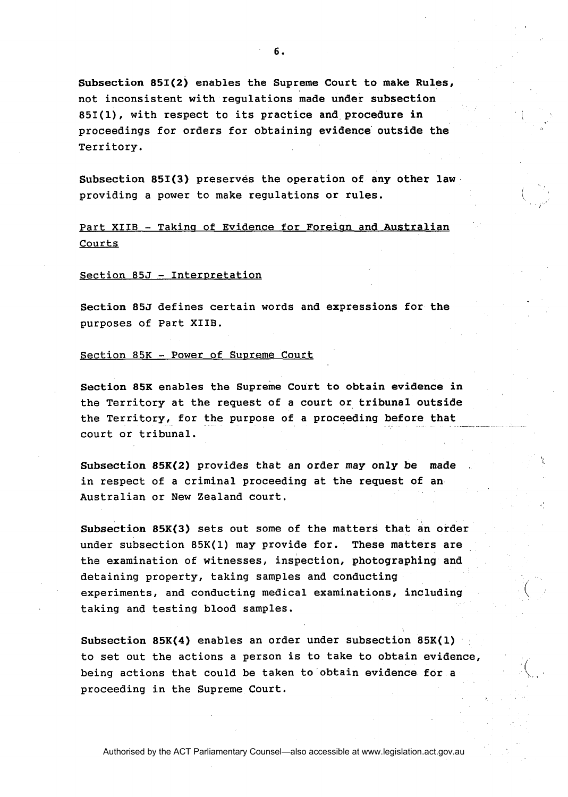Subsection 851(2) enables the Supreme Court to make Rules, not inconsistent with regulations made under subsection 851(1), with respect to its practice and procedure in proceedings for orders for obtaining evidence outside the Territory.

Subsection 851(3) preserves the operation of any other law providing a power to make regulations or rules.

Part XIIB - Taking of Evidence for Foreign and Australian Courts

### Section 85J - Interpretation

Section 85J defines certain words and expressions for the purposes of Part XIIB.

### Section 85K - Power of Supreme Court

Section 85K enables the Supreme Court to obtain evidence in the Territory at the request of a court or tribunal outside the Territory, for the purpose of a proceeding before that court or tribunal.

Subsection 85K(2) provides that an order may only be made in respect of a criminal proceeding at the request of an Australian or New Zealand court.

Subsection 85K(3) sets out some of the matters that an order under subsection 85K(1) may provide for. These matters are the examination of witnesses, inspection, photographing and detaining property, taking samples and conducting experiments, and conducting medical examinations, including ( taking and testing blood samples.

Subsection 85K(4) enables an order under subsection 85K(1) to set out the actions a person is to take to obtain evidence, being actions that could be taken to obtain evidence for a proceeding in the Supreme Court.

?.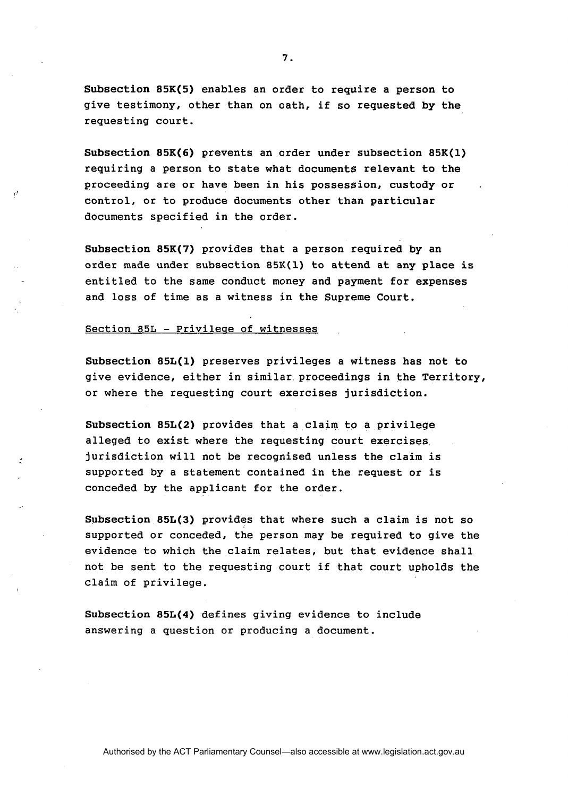Subsection **85K(5)** enables an order to require a person to give testimony, other than on oath, if so requested by the requesting court.

Subsection **85K(6)** prevents an order under subsection **85K(1)**  requiring a person to state what documents relevant to the proceeding are or have been in his possession, custody or control, or to produce documents other than particular documents specified in the order.

Subsection **85K(7)** provides that a person required by an order made under subsection **85K(1)** to attend at any place is entitled to the same conduct money and payment for expenses and loss of time as a witness in the Supreme Court.

### Section 85L - Privileae of witnesses

Subsection **85L(1)** preserves privileges a witness has not to give evidence, either in similar proceedings in the Territory, or where the requesting court exercises jurisdiction.

Subsection **85L(2)** provides that a claim to a privilege alleged to exist where the requesting court exercises jurisdiction will not be recognised unless the claim is supported by a statement contained in the request or is conceded by the applicant for the order.

Subsection **85L(3)** provides that where such a claim is not so supported or conceded, the person may be required to give the evidence to which the claim relates, but that evidence shall not be sent to the requesting court if that court upholds the claim of privilege.

Subsection **85L(4)** defines giving evidence to include answering a question or producing a document.